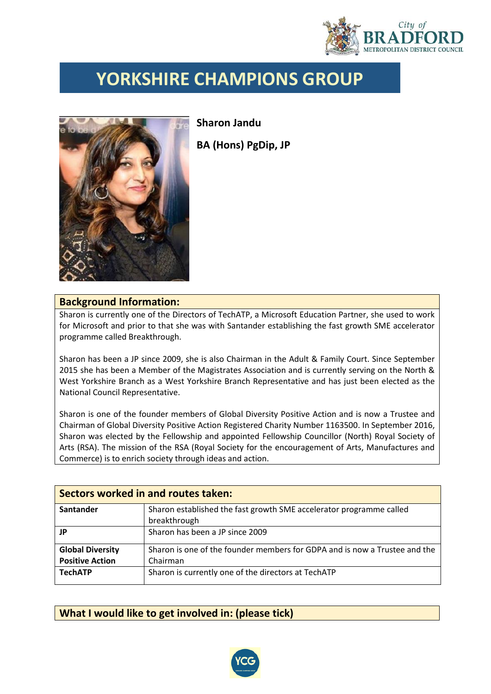

## **YORKSHIRE CHAMPIONS GROUP**



**Sharon Jandu BA (Hons) PgDip, JP**

## **Background Information:**

Sharon is currently one of the Directors of TechATP, a Microsoft Education Partner, she used to work for Microsoft and prior to that she was with Santander establishing the fast growth SME accelerator programme called Breakthrough.

Sharon has been a JP since 2009, she is also Chairman in the Adult & Family Court. Since September 2015 she has been a Member of the Magistrates Association and is currently serving on the North & West Yorkshire Branch as a West Yorkshire Branch Representative and has just been elected as the National Council Representative.

Sharon is one of the founder members of Global Diversity Positive Action and is now a Trustee and Chairman of Global Diversity Positive Action Registered Charity Number 1163500. In September 2016, Sharon was elected by the Fellowship and appointed Fellowship Councillor (North) Royal Society of Arts (RSA). The mission of the RSA (Royal Society for the encouragement of Arts, Manufactures and Commerce) is to enrich society through ideas and action.

| Sectors worked in and routes taken: |                                                                            |  |  |
|-------------------------------------|----------------------------------------------------------------------------|--|--|
| Santander                           | Sharon established the fast growth SME accelerator programme called        |  |  |
|                                     | breakthrough                                                               |  |  |
| JP                                  | Sharon has been a JP since 2009                                            |  |  |
| <b>Global Diversity</b>             | Sharon is one of the founder members for GDPA and is now a Trustee and the |  |  |
| <b>Positive Action</b>              | Chairman                                                                   |  |  |
| <b>TechATP</b>                      | Sharon is currently one of the directors at TechATP                        |  |  |

## **What I would like to get involved in: (please tick)**